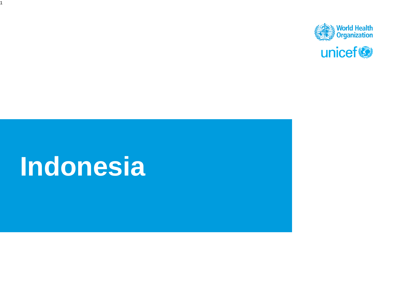

# **Indonesia**

1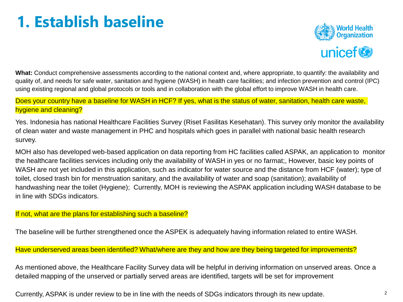## **1. Establish baseline**



**What:** Conduct comprehensive assessments according to the national context and, where appropriate, to quantify: the availability and quality of, and needs for safe water, sanitation and hygiene (WASH) in health care facilities; and infection prevention and control (IPC) using existing regional and global protocols or tools and in collaboration with the global effort to improve WASH in health care.

Does your country have a baseline for WASH in HCF? If yes, what is the status of water, sanitation, health care waste, hygiene and cleaning?

Yes. Indonesia has national Healthcare Facilities Survey (Riset Fasilitas Kesehatan). This survey only monitor the availability of clean water and waste management in PHC and hospitals which goes in parallel with national basic health research survey.

MOH also has developed web-based application on data reporting from HC facilities called ASPAK, an application to monitor the healthcare facilities services including only the availability of WASH in yes or no farmat;, However, basic key points of WASH are not yet included in this application, such as indicator for water source and the distance from HCF (water); type of toilet, closed trash bin for menstruation sanitary, and the availability of water and soap (sanitation); availability of handwashing near the toilet (Hygiene); Currently, MOH is reviewing the ASPAK application including WASH database to be in line with SDGs indicators.

If not, what are the plans for establishing such a baseline?

The baseline will be further strengthened once the ASPEK is adequately having information related to entire WASH.

Have underserved areas been identified? What/where are they and how are they being targeted for improvements?

As mentioned above, the Healthcare Facility Survey data will be helpful in deriving information on unserved areas. Once a detailed mapping of the unserved or partially served areas are identified, targets will be set for improvement

Currently, ASPAK is under review to be in line with the needs of SDGs indicators through its new update.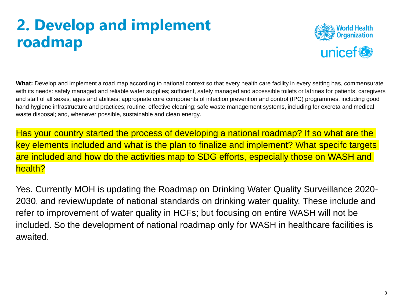### **2. Develop and implement roadmap**



**What:** Develop and implement a road map according to national context so that every health care facility in every setting has, commensurate with its needs: safely managed and reliable water supplies; sufficient, safely managed and accessible toilets or latrines for patients, caregivers and staff of all sexes*,* ages and abilities; appropriate core components of infection prevention and control (IPC) programmes, including good hand hygiene infrastructure and practices; routine, effective cleaning; safe waste management systems, including for excreta and medical waste disposal; and, whenever possible, sustainable and clean energy.

Has your country started the process of developing a national roadmap? If so what are the key elements included and what is the plan to finalize and implement? What specifc targets are included and how do the activities map to SDG efforts, especially those on WASH and health?

Yes. Currently MOH is updating the Roadmap on Drinking Water Quality Surveillance 2020- 2030, and review/update of national standards on drinking water quality. These include and refer to improvement of water quality in HCFs; but focusing on entire WASH will not be included. So the development of national roadmap only for WASH in healthcare facilities is awaited.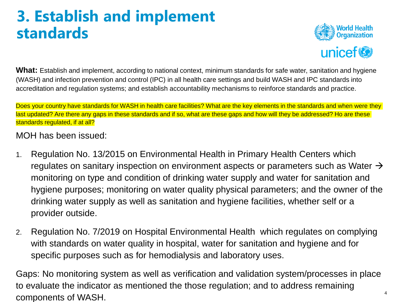#### **3. Establish and implement standards**



**What:** Establish and implement, according to national context, minimum standards for safe water, sanitation and hygiene (WASH) and infection prevention and control (IPC) in all health care settings and build WASH and IPC standards into accreditation and regulation systems; and establish accountability mechanisms to reinforce standards and practice.

Does your country have standards for WASH in health care facilities? What are the key elements in the standards and when were they last updated? Are there any gaps in these standards and if so, what are these gaps and how will they be addressed? Ho are these standards regulated, if at all?

MOH has been issued:

- 1. Regulation No. 13/2015 on Environmental Health in Primary Health Centers which regulates on sanitary inspection on environment aspects or parameters such as Water  $\rightarrow$ monitoring on type and condition of drinking water supply and water for sanitation and hygiene purposes; monitoring on water quality physical parameters; and the owner of the drinking water supply as well as sanitation and hygiene facilities, whether self or a provider outside.
- 2. Regulation No. 7/2019 on Hospital Environmental Health which regulates on complying with standards on water quality in hospital, water for sanitation and hygiene and for specific purposes such as for hemodialysis and laboratory uses.

4 Gaps: No monitoring system as well as verification and validation system/processes in place to evaluate the indicator as mentioned the those regulation; and to address remaining components of WASH.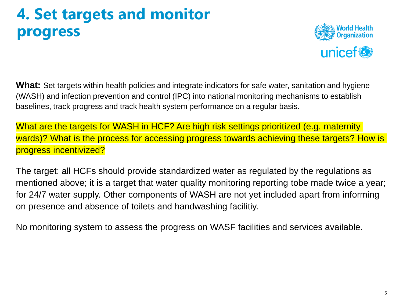#### **4. Set targets and monitor progress**



**What:** Set targets within health policies and integrate indicators for safe water, sanitation and hygiene (WASH) and infection prevention and control (IPC) into national monitoring mechanisms to establish baselines, track progress and track health system performance on a regular basis.

What are the targets for WASH in HCF? Are high risk settings prioritized (e.g. maternity wards)? What is the process for accessing progress towards achieving these targets? How is progress incentivized?

The target: all HCFs should provide standardized water as regulated by the regulations as mentioned above; it is a target that water quality monitoring reporting tobe made twice a year; for 24/7 water supply. Other components of WASH are not yet included apart from informing on presence and absence of toilets and handwashing facilitiy.

No monitoring system to assess the progress on WASF facilities and services available.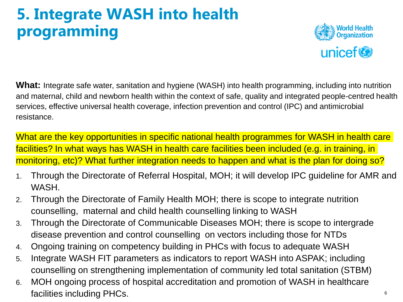## **5. Integrate WASH into health programming**



**What:** Integrate safe water, sanitation and hygiene (WASH) into health programming, including into nutrition and maternal, child and newborn health within the context of safe, quality and integrated people-centred health services, effective universal health coverage, infection prevention and control (IPC) and antimicrobial resistance.

What are the key opportunities in specific national health programmes for WASH in health care facilities? In what ways has WASH in health care facilities been included (e.g. in training, in monitoring, etc)? What further integration needs to happen and what is the plan for doing so?

- 1. Through the Directorate of Referral Hospital, MOH; it will develop IPC guideline for AMR and WASH.
- 2. Through the Directorate of Family Health MOH; there is scope to integrate nutrition counselling, maternal and child health counselling linking to WASH
- 3. Through the Directorate of Communicable Diseases MOH; there is scope to intergrade disease prevention and control counselling on vectors including those for NTDs
- 4. Ongoing training on competency building in PHCs with focus to adequate WASH
- 5. Integrate WASH FIT parameters as indicators to report WASH into ASPAK; including counselling on strengthening implementation of community led total sanitation (STBM)
- 6. MOH ongoing process of hospital accreditation and promotion of WASH in healthcare facilities including PHCs.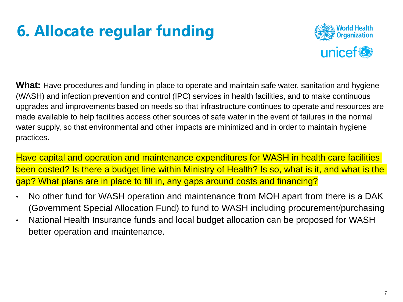# **6. Allocate regular funding**



**What:** Have procedures and funding in place to operate and maintain safe water, sanitation and hygiene (WASH) and infection prevention and control (IPC) services in health facilities, and to make continuous upgrades and improvements based on needs so that infrastructure continues to operate and resources are made available to help facilities access other sources of safe water in the event of failures in the normal water supply, so that environmental and other impacts are minimized and in order to maintain hygiene practices.

Have capital and operation and maintenance expenditures for WASH in health care facilities been costed? Is there a budget line within Ministry of Health? Is so, what is it, and what is the gap? What plans are in place to fill in, any gaps around costs and financing?

- No other fund for WASH operation and maintenance from MOH apart from there is a DAK (Government Special Allocation Fund) to fund to WASH including procurement/purchasing
- National Health Insurance funds and local budget allocation can be proposed for WASH better operation and maintenance.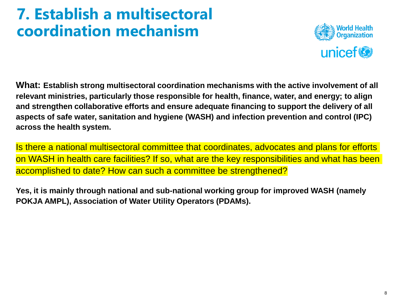#### **7. Establish a multisectoral coordination mechanism**



**What: Establish strong multisectoral coordination mechanisms with the active involvement of all relevant ministries, particularly those responsible for health, finance, water, and energy; to align and strengthen collaborative efforts and ensure adequate financing to support the delivery of all aspects of safe water, sanitation and hygiene (WASH) and infection prevention and control (IPC) across the health system.**

Is there a national multisectoral committee that coordinates, advocates and plans for efforts on WASH in health care facilities? If so, what are the key responsibilities and what has been accomplished to date? How can such a committee be strengthened?

**Yes, it is mainly through national and sub-national working group for improved WASH (namely POKJA AMPL), Association of Water Utility Operators (PDAMs).**